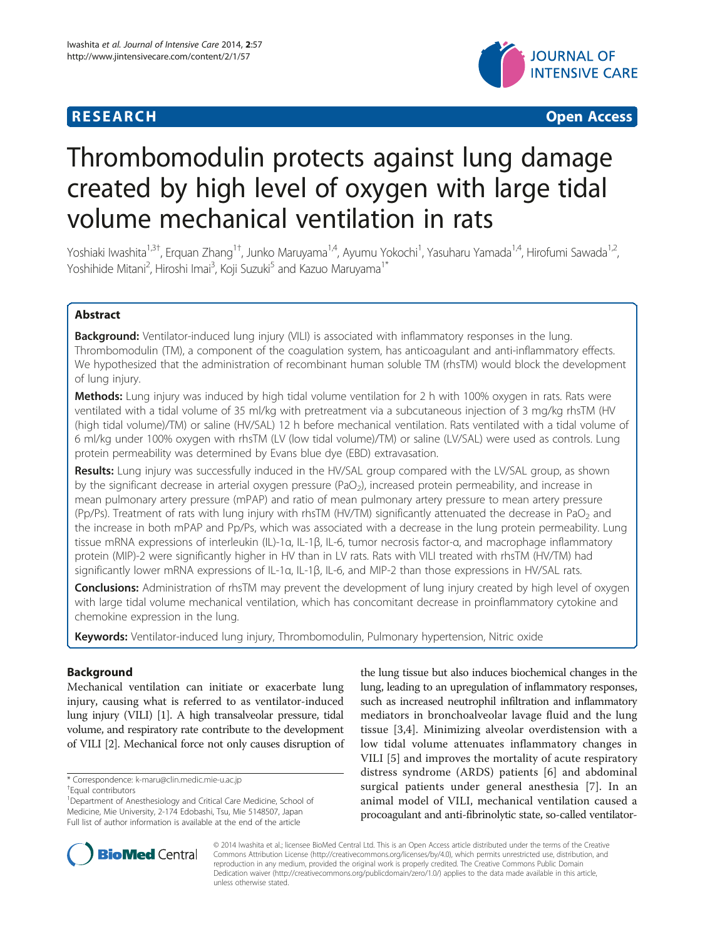

**RESEARCH CHILD CONTROL** CONTROL CONTROL CONTROL CONTROL CONTROL CONTROL CONTROL CONTROL CONTROL CONTROL CONTROL CONTROL CONTROL CONTROL CONTROL CONTROL CONTROL CONTROL CONTROL CONTROL CONTROL CONTROL CONTROL CONTROL CONTR

# Thrombomodulin protects against lung damage created by high level of oxygen with large tidal volume mechanical ventilation in rats

Yoshiaki Iwashita<sup>1,3†</sup>, Erquan Zhang<sup>1†</sup>, Junko Maruyama<sup>1,4</sup>, Ayumu Yokochi<sup>1</sup>, Yasuharu Yamada<sup>1,4</sup>, Hirofumi Sawada<sup>1,2</sup>, Yoshihide Mitani<sup>2</sup>, Hiroshi Imai<sup>3</sup>, Koji Suzuki<sup>5</sup> and Kazuo Maruyama<sup>1\*</sup>

# Abstract

Background: Ventilator-induced lung injury (VILI) is associated with inflammatory responses in the lung. Thrombomodulin (TM), a component of the coagulation system, has anticoagulant and anti-inflammatory effects. We hypothesized that the administration of recombinant human soluble TM (rhsTM) would block the development of lung injury.

Methods: Lung injury was induced by high tidal volume ventilation for 2 h with 100% oxygen in rats. Rats were ventilated with a tidal volume of 35 ml/kg with pretreatment via a subcutaneous injection of 3 mg/kg rhsTM (HV (high tidal volume)/TM) or saline (HV/SAL) 12 h before mechanical ventilation. Rats ventilated with a tidal volume of 6 ml/kg under 100% oxygen with rhsTM (LV (low tidal volume)/TM) or saline (LV/SAL) were used as controls. Lung protein permeability was determined by Evans blue dye (EBD) extravasation.

Results: Lung injury was successfully induced in the HV/SAL group compared with the LV/SAL group, as shown by the significant decrease in arterial oxygen pressure (PaO<sub>2</sub>), increased protein permeability, and increase in mean pulmonary artery pressure (mPAP) and ratio of mean pulmonary artery pressure to mean artery pressure (Pp/Ps). Treatment of rats with lung injury with rhsTM (HV/TM) significantly attenuated the decrease in PaO<sub>2</sub> and the increase in both mPAP and Pp/Ps, which was associated with a decrease in the lung protein permeability. Lung tissue mRNA expressions of interleukin (IL)-1α, IL-1β, IL-6, tumor necrosis factor-α, and macrophage inflammatory protein (MIP)-2 were significantly higher in HV than in LV rats. Rats with VILI treated with rhsTM (HV/TM) had significantly lower mRNA expressions of IL-1α, IL-1β, IL-6, and MIP-2 than those expressions in HV/SAL rats.

**Conclusions:** Administration of rhsTM may prevent the development of lung injury created by high level of oxygen with large tidal volume mechanical ventilation, which has concomitant decrease in proinflammatory cytokine and chemokine expression in the lung.

Keywords: Ventilator-induced lung injury, Thrombomodulin, Pulmonary hypertension, Nitric oxide

# Background

Mechanical ventilation can initiate or exacerbate lung injury, causing what is referred to as ventilator-induced lung injury (VILI) [[1](#page-8-0)]. A high transalveolar pressure, tidal volume, and respiratory rate contribute to the development of VILI [[2](#page-8-0)]. Mechanical force not only causes disruption of

\* Correspondence: [k-maru@clin.medic.mie-u.ac.jp](mailto:k-maru@clin.medic.mie-u.ac.jp) †

the lung tissue but also induces biochemical changes in the lung, leading to an upregulation of inflammatory responses, such as increased neutrophil infiltration and inflammatory mediators in bronchoalveolar lavage fluid and the lung tissue [[3,4](#page-8-0)]. Minimizing alveolar overdistension with a low tidal volume attenuates inflammatory changes in VILI [[5](#page-8-0)] and improves the mortality of acute respiratory distress syndrome (ARDS) patients [[6\]](#page-8-0) and abdominal surgical patients under general anesthesia [[7](#page-8-0)]. In an animal model of VILI, mechanical ventilation caused a procoagulant and anti-fibrinolytic state, so-called ventilator-



© 2014 Iwashita et al.; licensee BioMed Central Ltd. This is an Open Access article distributed under the terms of the Creative Commons Attribution License [\(http://creativecommons.org/licenses/by/4.0\)](http://creativecommons.org/licenses/by/4.0), which permits unrestricted use, distribution, and reproduction in any medium, provided the original work is properly credited. The Creative Commons Public Domain Dedication waiver [\(http://creativecommons.org/publicdomain/zero/1.0/](http://creativecommons.org/publicdomain/zero/1.0/)) applies to the data made available in this article, unless otherwise stated.

<sup>&</sup>lt;sup>+</sup>Equal contributors

<sup>&</sup>lt;sup>1</sup>Department of Anesthesiology and Critical Care Medicine, School of Medicine, Mie University, 2-174 Edobashi, Tsu, Mie 5148507, Japan Full list of author information is available at the end of the article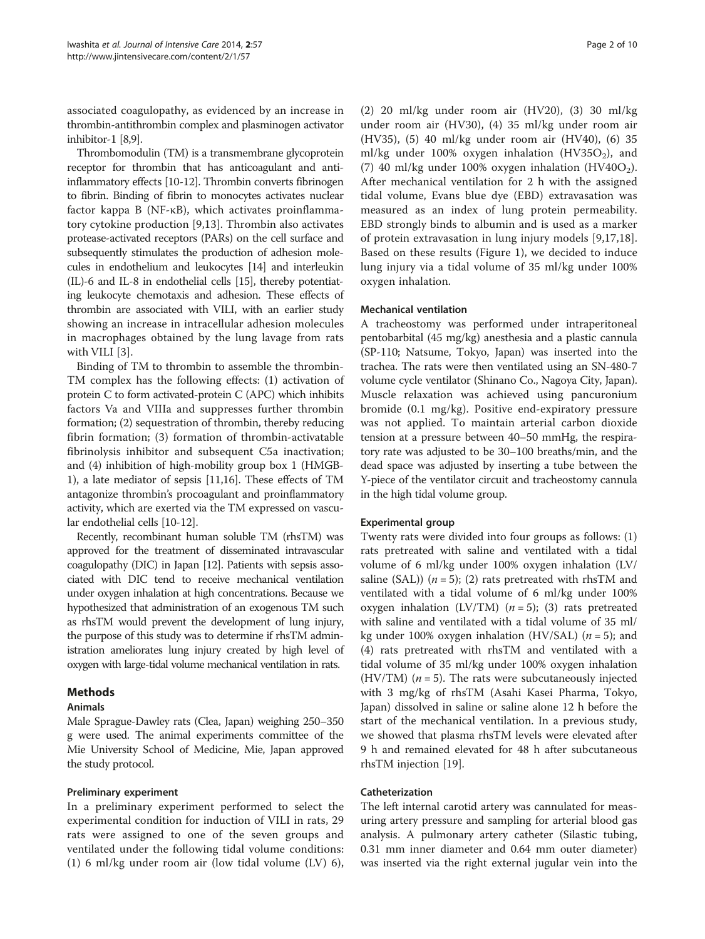associated coagulopathy, as evidenced by an increase in thrombin-antithrombin complex and plasminogen activator inhibitor-1 [\[8,9](#page-8-0)].

Thrombomodulin (TM) is a transmembrane glycoprotein receptor for thrombin that has anticoagulant and antiinflammatory effects [\[10-12](#page-8-0)]. Thrombin converts fibrinogen to fibrin. Binding of fibrin to monocytes activates nuclear factor kappa B (NF-κB), which activates proinflammatory cytokine production [[9,13\]](#page-8-0). Thrombin also activates protease-activated receptors (PARs) on the cell surface and subsequently stimulates the production of adhesion molecules in endothelium and leukocytes [[14](#page-8-0)] and interleukin (IL)-6 and IL-8 in endothelial cells [[15](#page-8-0)], thereby potentiating leukocyte chemotaxis and adhesion. These effects of thrombin are associated with VILI, with an earlier study showing an increase in intracellular adhesion molecules in macrophages obtained by the lung lavage from rats with VILI [[3\]](#page-8-0).

Binding of TM to thrombin to assemble the thrombin-TM complex has the following effects: (1) activation of protein C to form activated-protein C (APC) which inhibits factors Va and VIIIa and suppresses further thrombin formation; (2) sequestration of thrombin, thereby reducing fibrin formation; (3) formation of thrombin-activatable fibrinolysis inhibitor and subsequent C5a inactivation; and (4) inhibition of high-mobility group box 1 (HMGB-1), a late mediator of sepsis [[11,16](#page-8-0)]. These effects of TM antagonize thrombin's procoagulant and proinflammatory activity, which are exerted via the TM expressed on vascular endothelial cells [\[10](#page-8-0)-[12](#page-8-0)].

Recently, recombinant human soluble TM (rhsTM) was approved for the treatment of disseminated intravascular coagulopathy (DIC) in Japan [\[12\]](#page-8-0). Patients with sepsis associated with DIC tend to receive mechanical ventilation under oxygen inhalation at high concentrations. Because we hypothesized that administration of an exogenous TM such as rhsTM would prevent the development of lung injury, the purpose of this study was to determine if rhsTM administration ameliorates lung injury created by high level of oxygen with large-tidal volume mechanical ventilation in rats.

# Methods

# Animals

Male Sprague-Dawley rats (Clea, Japan) weighing 250–350 g were used. The animal experiments committee of the Mie University School of Medicine, Mie, Japan approved the study protocol.

# Preliminary experiment

In a preliminary experiment performed to select the experimental condition for induction of VILI in rats, 29 rats were assigned to one of the seven groups and ventilated under the following tidal volume conditions: (1) 6 ml/kg under room air (low tidal volume (LV) 6),

(2) 20 ml/kg under room air (HV20), (3) 30 ml/kg under room air (HV30), (4) 35 ml/kg under room air (HV35), (5) 40 ml/kg under room air (HV40), (6) 35 ml/kg under 100% oxygen inhalation (HV35O<sub>2</sub>), and (7) 40 ml/kg under 100% oxygen inhalation (HV40O<sub>2</sub>). After mechanical ventilation for 2 h with the assigned tidal volume, Evans blue dye (EBD) extravasation was measured as an index of lung protein permeability. EBD strongly binds to albumin and is used as a marker of protein extravasation in lung injury models [[9,17,18](#page-8-0)]. Based on these results (Figure [1\)](#page-2-0), we decided to induce lung injury via a tidal volume of 35 ml/kg under 100% oxygen inhalation.

# Mechanical ventilation

A tracheostomy was performed under intraperitoneal pentobarbital (45 mg/kg) anesthesia and a plastic cannula (SP-110; Natsume, Tokyo, Japan) was inserted into the trachea. The rats were then ventilated using an SN-480-7 volume cycle ventilator (Shinano Co., Nagoya City, Japan). Muscle relaxation was achieved using pancuronium bromide (0.1 mg/kg). Positive end-expiratory pressure was not applied. To maintain arterial carbon dioxide tension at a pressure between 40–50 mmHg, the respiratory rate was adjusted to be 30–100 breaths/min, and the dead space was adjusted by inserting a tube between the Y-piece of the ventilator circuit and tracheostomy cannula in the high tidal volume group.

# Experimental group

Twenty rats were divided into four groups as follows: (1) rats pretreated with saline and ventilated with a tidal volume of 6 ml/kg under 100% oxygen inhalation (LV/ saline (SAL))  $(n = 5)$ ; (2) rats pretreated with rhsTM and ventilated with a tidal volume of 6 ml/kg under 100% oxygen inhalation (LV/TM)  $(n = 5)$ ; (3) rats pretreated with saline and ventilated with a tidal volume of 35 ml/ kg under 100% oxygen inhalation (HV/SAL) ( $n = 5$ ); and (4) rats pretreated with rhsTM and ventilated with a tidal volume of 35 ml/kg under 100% oxygen inhalation (HV/TM)  $(n = 5)$ . The rats were subcutaneously injected with 3 mg/kg of rhsTM (Asahi Kasei Pharma, Tokyo, Japan) dissolved in saline or saline alone 12 h before the start of the mechanical ventilation. In a previous study, we showed that plasma rhsTM levels were elevated after 9 h and remained elevated for 48 h after subcutaneous rhsTM injection [\[19](#page-9-0)].

# Catheterization

The left internal carotid artery was cannulated for measuring artery pressure and sampling for arterial blood gas analysis. A pulmonary artery catheter (Silastic tubing, 0.31 mm inner diameter and 0.64 mm outer diameter) was inserted via the right external jugular vein into the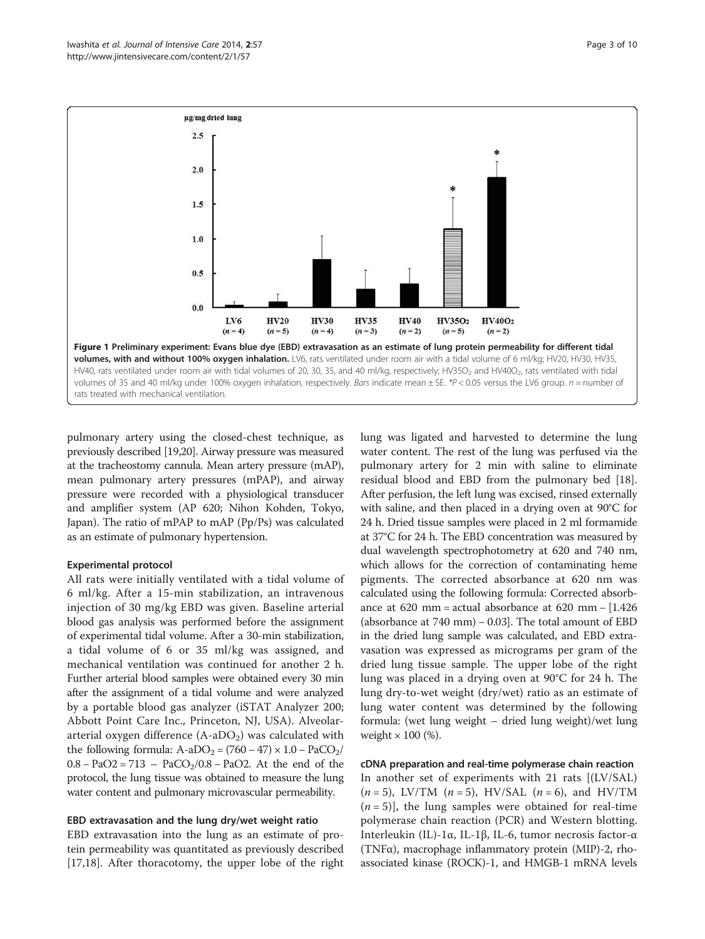<span id="page-2-0"></span>

pulmonary artery using the closed-chest technique, as previously described [[19,20](#page-9-0)]. Airway pressure was measured at the tracheostomy cannula. Mean artery pressure (mAP), mean pulmonary artery pressures (mPAP), and airway pressure were recorded with a physiological transducer and amplifier system (AP 620; Nihon Kohden, Tokyo, Japan). The ratio of mPAP to mAP (Pp/Ps) was calculated as an estimate of pulmonary hypertension.

#### Experimental protocol

All rats were initially ventilated with a tidal volume of 6 ml/kg. After a 15-min stabilization, an intravenous injection of 30 mg/kg EBD was given. Baseline arterial blood gas analysis was performed before the assignment of experimental tidal volume. After a 30-min stabilization, a tidal volume of 6 or 35 ml/kg was assigned, and mechanical ventilation was continued for another 2 h. Further arterial blood samples were obtained every 30 min after the assignment of a tidal volume and were analyzed by a portable blood gas analyzer (iSTAT Analyzer 200; Abbott Point Care Inc., Princeton, NJ, USA). Alveolararterial oxygen difference  $(A-aDO<sub>2</sub>)$  was calculated with the following formula:  $A-aDO<sub>2</sub> = (760 - 47) \times 1.0 - PaCO<sub>2</sub>/$  $0.8 - PaO2 = 713 - PaCO<sub>2</sub>/0.8 - PaO2$ . At the end of the protocol, the lung tissue was obtained to measure the lung water content and pulmonary microvascular permeability.

#### EBD extravasation and the lung dry/wet weight ratio

EBD extravasation into the lung as an estimate of protein permeability was quantitated as previously described [[17,18\]](#page-8-0). After thoracotomy, the upper lobe of the right lung was ligated and harvested to determine the lung water content. The rest of the lung was perfused via the pulmonary artery for 2 min with saline to eliminate residual blood and EBD from the pulmonary bed [\[18](#page-8-0)]. After perfusion, the left lung was excised, rinsed externally with saline, and then placed in a drying oven at 90°C for 24 h. Dried tissue samples were placed in 2 ml formamide at 37°C for 24 h. The EBD concentration was measured by dual wavelength spectrophotometry at 620 and 740 nm, which allows for the correction of contaminating heme pigments. The corrected absorbance at 620 nm was calculated using the following formula: Corrected absorbance at 620 mm = actual absorbance at 620 mm − [1.426 (absorbance at  $740 \text{ mm}$ ) – 0.03]. The total amount of EBD in the dried lung sample was calculated, and EBD extravasation was expressed as micrograms per gram of the dried lung tissue sample. The upper lobe of the right lung was placed in a drying oven at 90°C for 24 h. The lung dry-to-wet weight (dry/wet) ratio as an estimate of lung water content was determined by the following formula: (wet lung weight – dried lung weight)/wet lung weight  $\times$  100 (%).

cDNA preparation and real-time polymerase chain reaction In another set of experiments with 21 rats [(LV/SAL)  $(n = 5)$ , LV/TM  $(n = 5)$ , HV/SAL  $(n = 6)$ , and HV/TM  $(n=5)$ ], the lung samples were obtained for real-time polymerase chain reaction (PCR) and Western blotting. Interleukin (IL)-1α, IL-1β, IL-6, tumor necrosis factor-α (TNFα), macrophage inflammatory protein (MIP)-2, rhoassociated kinase (ROCK)-1, and HMGB-1 mRNA levels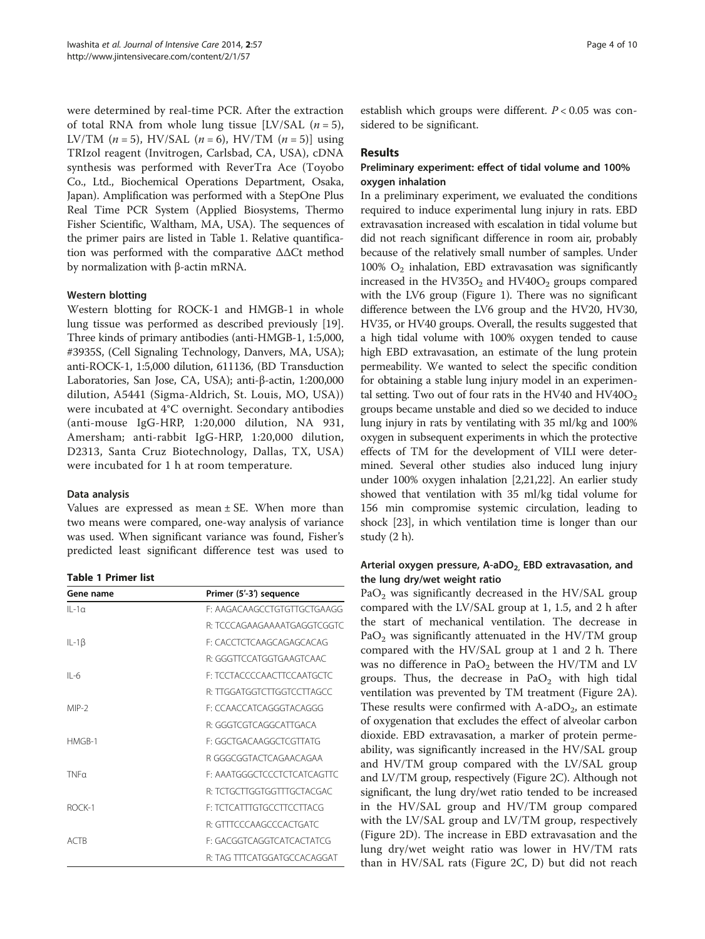were determined by real-time PCR. After the extraction of total RNA from whole lung tissue [LV/SAL  $(n=5)$ , LV/TM  $(n = 5)$ , HV/SAL  $(n = 6)$ , HV/TM  $(n = 5)$ ] using TRIzol reagent (Invitrogen, Carlsbad, CA, USA), cDNA synthesis was performed with ReverTra Ace (Toyobo Co., Ltd., Biochemical Operations Department, Osaka, Japan). Amplification was performed with a StepOne Plus Real Time PCR System (Applied Biosystems, Thermo Fisher Scientific, Waltham, MA, USA). The sequences of the primer pairs are listed in Table 1. Relative quantification was performed with the comparative ΔΔCt method by normalization with β-actin mRNA.

# Western blotting

Western blotting for ROCK-1 and HMGB-1 in whole lung tissue was performed as described previously [\[19](#page-9-0)]. Three kinds of primary antibodies (anti-HMGB-1, 1:5,000, #3935S, (Cell Signaling Technology, Danvers, MA, USA); anti-ROCK-1, 1:5,000 dilution, 611136, (BD Transduction Laboratories, San Jose, CA, USA); anti-β-actin, 1:200,000 dilution, A5441 (Sigma-Aldrich, St. Louis, MO, USA)) were incubated at 4°C overnight. Secondary antibodies (anti-mouse IgG-HRP, 1:20,000 dilution, NA 931, Amersham; anti-rabbit IgG-HRP, 1:20,000 dilution, D2313, Santa Cruz Biotechnology, Dallas, TX, USA) were incubated for 1 h at room temperature.

# Data analysis

Values are expressed as mean  $\pm$  SE. When more than two means were compared, one-way analysis of variance was used. When significant variance was found, Fisher's predicted least significant difference test was used to

| Gene name        | Primer (5'-3') sequence     |
|------------------|-----------------------------|
| $II - 1a$        | E: AAGACAAGCCTGTGTTGCTGAAGG |
|                  | R: TCCCAGAAGAAAATGAGGTCGGTC |
| IL-1 $\beta$     | F: CACCTCTCAAGCAGAGCACAG    |
|                  | R: GGGTTCCATGGTGAAGTCAAC    |
| $II -6$          | F: TCCTACCCCAACTTCCAATGCTC  |
|                  | R: TTGGATGGTCTTGGTCCTTAGCC  |
| MIP-2            | F: CCAACCATCAGGGTACAGGG     |
|                  | R: GGGTCGTCAGGCATTGACA      |
| $HMGB-1$         | F: GGCTGACAAGGCTCGTTATG     |
|                  | R GGGCGGTACTCAGAACAGAA      |
| TNF <sub>0</sub> | F: AAATGGGCTCCCTCTCATCAGTTC |
|                  | R: TCTGCTTGGTGGTTTGCTACGAC  |
| ROCK-1           | F: TCTCATTTGTGCCTTCCTTACG   |
|                  | R: GTTTCCCAAGCCCACTGATC     |
| ACTB             | F: GACGGTCAGGTCATCACTATCG   |
|                  | R: TAG TTTCATGGATGCCACAGGAT |

establish which groups were different.  $P < 0.05$  was considered to be significant.

# Results

# Preliminary experiment: effect of tidal volume and 100% oxygen inhalation

In a preliminary experiment, we evaluated the conditions required to induce experimental lung injury in rats. EBD extravasation increased with escalation in tidal volume but did not reach significant difference in room air, probably because of the relatively small number of samples. Under 100%  $O<sub>2</sub>$  inhalation, EBD extravasation was significantly increased in the HV35O<sub>2</sub> and HV40O<sub>2</sub> groups compared with the LV6 group (Figure [1\)](#page-2-0). There was no significant difference between the LV6 group and the HV20, HV30, HV35, or HV40 groups. Overall, the results suggested that a high tidal volume with 100% oxygen tended to cause high EBD extravasation, an estimate of the lung protein permeability. We wanted to select the specific condition for obtaining a stable lung injury model in an experimental setting. Two out of four rats in the HV40 and  $HV40O<sub>2</sub>$ groups became unstable and died so we decided to induce lung injury in rats by ventilating with 35 ml/kg and 100% oxygen in subsequent experiments in which the protective effects of TM for the development of VILI were determined. Several other studies also induced lung injury under 100% oxygen inhalation [[2](#page-8-0)[,21,22\]](#page-9-0). An earlier study showed that ventilation with 35 ml/kg tidal volume for 156 min compromise systemic circulation, leading to shock [\[23\]](#page-9-0), in which ventilation time is longer than our study (2 h).

# Arterial oxygen pressure, A-aDO<sub>2,</sub> EBD extravasation, and the lung dry/wet weight ratio

PaO<sub>2</sub> was significantly decreased in the HV/SAL group compared with the LV/SAL group at 1, 1.5, and 2 h after the start of mechanical ventilation. The decrease in Pa $O_2$  was significantly attenuated in the HV/TM group compared with the HV/SAL group at 1 and 2 h. There was no difference in  $PaO<sub>2</sub>$  between the HV/TM and LV groups. Thus, the decrease in  $PaO<sub>2</sub>$  with high tidal ventilation was prevented by TM treatment (Figure [2](#page-4-0)A). These results were confirmed with  $A$ -aDO<sub>2</sub>, an estimate of oxygenation that excludes the effect of alveolar carbon dioxide. EBD extravasation, a marker of protein permeability, was significantly increased in the HV/SAL group and HV/TM group compared with the LV/SAL group and LV/TM group, respectively (Figure [2C](#page-4-0)). Although not significant, the lung dry/wet ratio tended to be increased in the HV/SAL group and HV/TM group compared with the LV/SAL group and LV/TM group, respectively (Figure [2D](#page-4-0)). The increase in EBD extravasation and the lung dry/wet weight ratio was lower in HV/TM rats than in HV/SAL rats (Figure [2](#page-4-0)C, D) but did not reach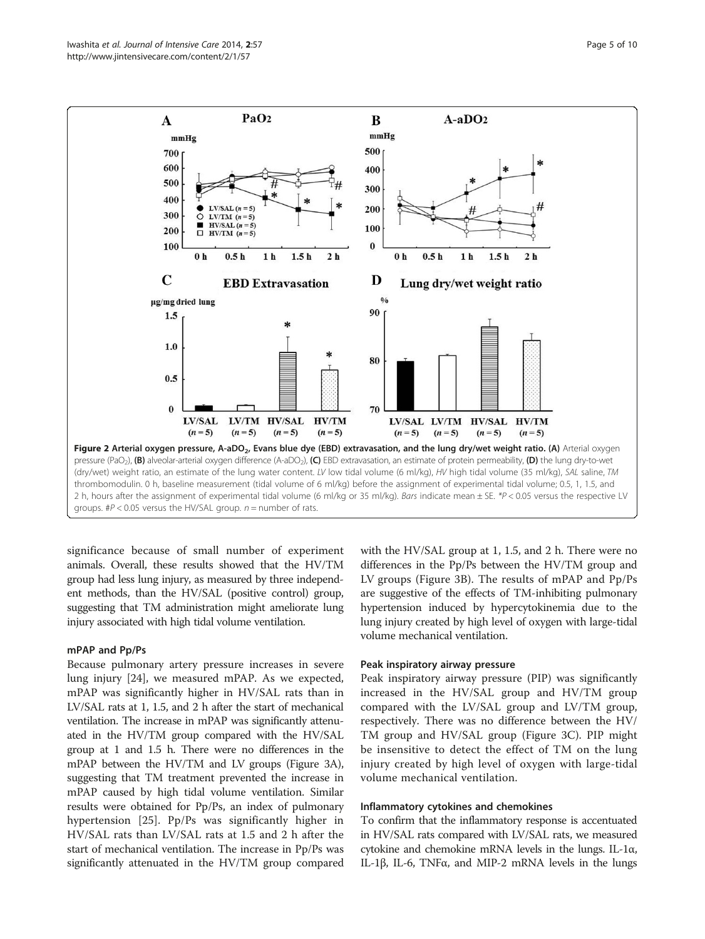<span id="page-4-0"></span>

significance because of small number of experiment animals. Overall, these results showed that the HV/TM group had less lung injury, as measured by three independent methods, than the HV/SAL (positive control) group, suggesting that TM administration might ameliorate lung injury associated with high tidal volume ventilation.

#### mPAP and Pp/Ps

Because pulmonary artery pressure increases in severe lung injury [\[24](#page-9-0)], we measured mPAP. As we expected, mPAP was significantly higher in HV/SAL rats than in LV/SAL rats at 1, 1.5, and 2 h after the start of mechanical ventilation. The increase in mPAP was significantly attenuated in the HV/TM group compared with the HV/SAL group at 1 and 1.5 h. There were no differences in the mPAP between the HV/TM and LV groups (Figure [3A](#page-5-0)), suggesting that TM treatment prevented the increase in mPAP caused by high tidal volume ventilation. Similar results were obtained for Pp/Ps, an index of pulmonary hypertension [\[25](#page-9-0)]. Pp/Ps was significantly higher in HV/SAL rats than LV/SAL rats at 1.5 and 2 h after the start of mechanical ventilation. The increase in Pp/Ps was significantly attenuated in the HV/TM group compared with the HV/SAL group at 1, 1.5, and 2 h. There were no differences in the Pp/Ps between the HV/TM group and LV groups (Figure [3](#page-5-0)B). The results of mPAP and Pp/Ps are suggestive of the effects of TM-inhibiting pulmonary hypertension induced by hypercytokinemia due to the lung injury created by high level of oxygen with large-tidal volume mechanical ventilation.

#### Peak inspiratory airway pressure

Peak inspiratory airway pressure (PIP) was significantly increased in the HV/SAL group and HV/TM group compared with the LV/SAL group and LV/TM group, respectively. There was no difference between the HV/ TM group and HV/SAL group (Figure [3](#page-5-0)C). PIP might be insensitive to detect the effect of TM on the lung injury created by high level of oxygen with large-tidal volume mechanical ventilation.

#### Inflammatory cytokines and chemokines

To confirm that the inflammatory response is accentuated in HV/SAL rats compared with LV/SAL rats, we measured cytokine and chemokine mRNA levels in the lungs. IL-1α, IL-1β, IL-6, TNFα, and MIP-2 mRNA levels in the lungs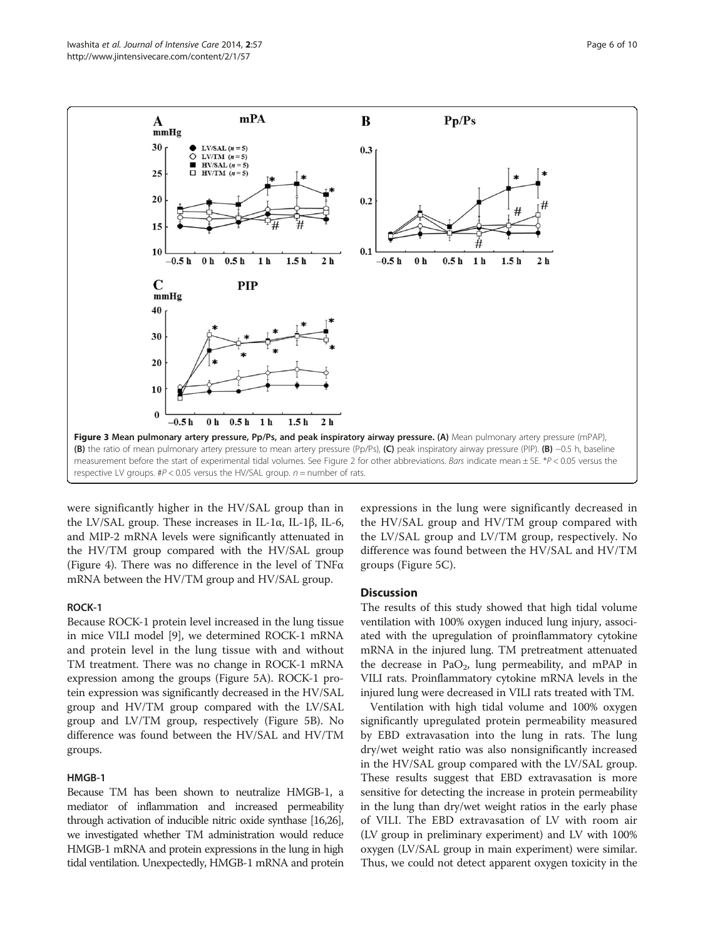<span id="page-5-0"></span>

were significantly higher in the HV/SAL group than in the LV/SAL group. These increases in IL-1α, IL-1β, IL-6, and MIP-2 mRNA levels were significantly attenuated in the HV/TM group compared with the HV/SAL group (Figure [4](#page-6-0)). There was no difference in the level of TNFα mRNA between the HV/TM group and HV/SAL group.

# ROCK-1

Because ROCK-1 protein level increased in the lung tissue in mice VILI model [\[9](#page-8-0)], we determined ROCK-1 mRNA and protein level in the lung tissue with and without TM treatment. There was no change in ROCK-1 mRNA expression among the groups (Figure [5](#page-7-0)A). ROCK-1 protein expression was significantly decreased in the HV/SAL group and HV/TM group compared with the LV/SAL group and LV/TM group, respectively (Figure [5](#page-7-0)B). No difference was found between the HV/SAL and HV/TM groups.

## HMGB-1

Because TM has been shown to neutralize HMGB-1, a mediator of inflammation and increased permeability through activation of inducible nitric oxide synthase [\[16](#page-8-0)[,26\]](#page-9-0), we investigated whether TM administration would reduce HMGB-1 mRNA and protein expressions in the lung in high tidal ventilation. Unexpectedly, HMGB-1 mRNA and protein

expressions in the lung were significantly decreased in the HV/SAL group and HV/TM group compared with the LV/SAL group and LV/TM group, respectively. No difference was found between the HV/SAL and HV/TM groups (Figure [5C](#page-7-0)).

#### **Discussion**

The results of this study showed that high tidal volume ventilation with 100% oxygen induced lung injury, associated with the upregulation of proinflammatory cytokine mRNA in the injured lung. TM pretreatment attenuated the decrease in PaO<sub>2</sub>, lung permeability, and mPAP in VILI rats. Proinflammatory cytokine mRNA levels in the injured lung were decreased in VILI rats treated with TM.

Ventilation with high tidal volume and 100% oxygen significantly upregulated protein permeability measured by EBD extravasation into the lung in rats. The lung dry/wet weight ratio was also nonsignificantly increased in the HV/SAL group compared with the LV/SAL group. These results suggest that EBD extravasation is more sensitive for detecting the increase in protein permeability in the lung than dry/wet weight ratios in the early phase of VILI. The EBD extravasation of LV with room air (LV group in preliminary experiment) and LV with 100% oxygen (LV/SAL group in main experiment) were similar. Thus, we could not detect apparent oxygen toxicity in the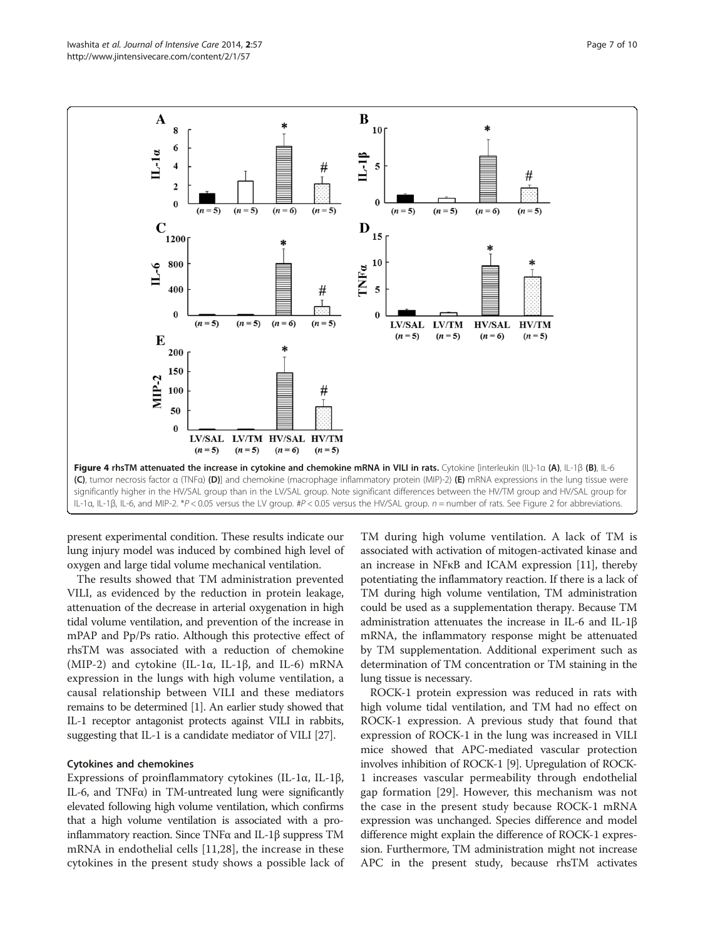<span id="page-6-0"></span>

present experimental condition. These results indicate our lung injury model was induced by combined high level of oxygen and large tidal volume mechanical ventilation.

The results showed that TM administration prevented VILI, as evidenced by the reduction in protein leakage, attenuation of the decrease in arterial oxygenation in high tidal volume ventilation, and prevention of the increase in mPAP and Pp/Ps ratio. Although this protective effect of rhsTM was associated with a reduction of chemokine (MIP-2) and cytokine (IL-1α, IL-1β, and IL-6) mRNA expression in the lungs with high volume ventilation, a causal relationship between VILI and these mediators remains to be determined [\[1\]](#page-8-0). An earlier study showed that IL-1 receptor antagonist protects against VILI in rabbits, suggesting that IL-1 is a candidate mediator of VILI [[27\]](#page-9-0).

# Cytokines and chemokines

Expressions of proinflammatory cytokines (IL-1α, IL-1β, IL-6, and TNFα) in TM-untreated lung were significantly elevated following high volume ventilation, which confirms that a high volume ventilation is associated with a proinflammatory reaction. Since TNFα and IL-1β suppress TM mRNA in endothelial cells [[11,](#page-8-0)[28\]](#page-9-0), the increase in these cytokines in the present study shows a possible lack of

TM during high volume ventilation. A lack of TM is associated with activation of mitogen-activated kinase and an increase in NFκB and ICAM expression [\[11\]](#page-8-0), thereby potentiating the inflammatory reaction. If there is a lack of TM during high volume ventilation, TM administration could be used as a supplementation therapy. Because TM administration attenuates the increase in IL-6 and IL-1β mRNA, the inflammatory response might be attenuated by TM supplementation. Additional experiment such as determination of TM concentration or TM staining in the lung tissue is necessary.

ROCK-1 protein expression was reduced in rats with high volume tidal ventilation, and TM had no effect on ROCK-1 expression. A previous study that found that expression of ROCK-1 in the lung was increased in VILI mice showed that APC-mediated vascular protection involves inhibition of ROCK-1 [\[9\]](#page-8-0). Upregulation of ROCK-1 increases vascular permeability through endothelial gap formation [[29\]](#page-9-0). However, this mechanism was not the case in the present study because ROCK-1 mRNA expression was unchanged. Species difference and model difference might explain the difference of ROCK-1 expression. Furthermore, TM administration might not increase APC in the present study, because rhsTM activates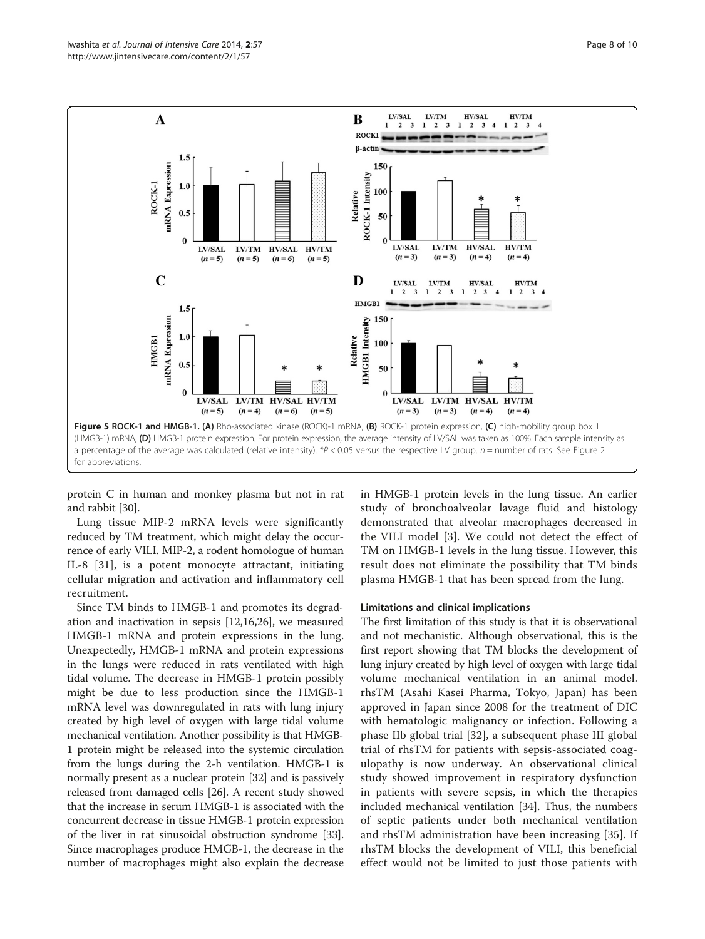<span id="page-7-0"></span>

protein C in human and monkey plasma but not in rat and rabbit [\[30\]](#page-9-0).

Lung tissue MIP-2 mRNA levels were significantly reduced by TM treatment, which might delay the occurrence of early VILI. MIP-2, a rodent homologue of human IL-8 [[31](#page-9-0)], is a potent monocyte attractant, initiating cellular migration and activation and inflammatory cell recruitment.

Since TM binds to HMGB-1 and promotes its degradation and inactivation in sepsis [\[12,16](#page-8-0)[,26](#page-9-0)], we measured HMGB-1 mRNA and protein expressions in the lung. Unexpectedly, HMGB-1 mRNA and protein expressions in the lungs were reduced in rats ventilated with high tidal volume. The decrease in HMGB-1 protein possibly might be due to less production since the HMGB-1 mRNA level was downregulated in rats with lung injury created by high level of oxygen with large tidal volume mechanical ventilation. Another possibility is that HMGB-1 protein might be released into the systemic circulation from the lungs during the 2-h ventilation. HMGB-1 is normally present as a nuclear protein [\[32\]](#page-9-0) and is passively released from damaged cells [\[26\]](#page-9-0). A recent study showed that the increase in serum HMGB-1 is associated with the concurrent decrease in tissue HMGB-1 protein expression of the liver in rat sinusoidal obstruction syndrome [[33](#page-9-0)]. Since macrophages produce HMGB-1, the decrease in the number of macrophages might also explain the decrease in HMGB-1 protein levels in the lung tissue. An earlier study of bronchoalveolar lavage fluid and histology demonstrated that alveolar macrophages decreased in the VILI model [\[3](#page-8-0)]. We could not detect the effect of TM on HMGB-1 levels in the lung tissue. However, this result does not eliminate the possibility that TM binds plasma HMGB-1 that has been spread from the lung.

## Limitations and clinical implications

The first limitation of this study is that it is observational and not mechanistic. Although observational, this is the first report showing that TM blocks the development of lung injury created by high level of oxygen with large tidal volume mechanical ventilation in an animal model. rhsTM (Asahi Kasei Pharma, Tokyo, Japan) has been approved in Japan since 2008 for the treatment of DIC with hematologic malignancy or infection. Following a phase IIb global trial [[32\]](#page-9-0), a subsequent phase III global trial of rhsTM for patients with sepsis-associated coagulopathy is now underway. An observational clinical study showed improvement in respiratory dysfunction in patients with severe sepsis, in which the therapies included mechanical ventilation [\[34\]](#page-9-0). Thus, the numbers of septic patients under both mechanical ventilation and rhsTM administration have been increasing [[35\]](#page-9-0). If rhsTM blocks the development of VILI, this beneficial effect would not be limited to just those patients with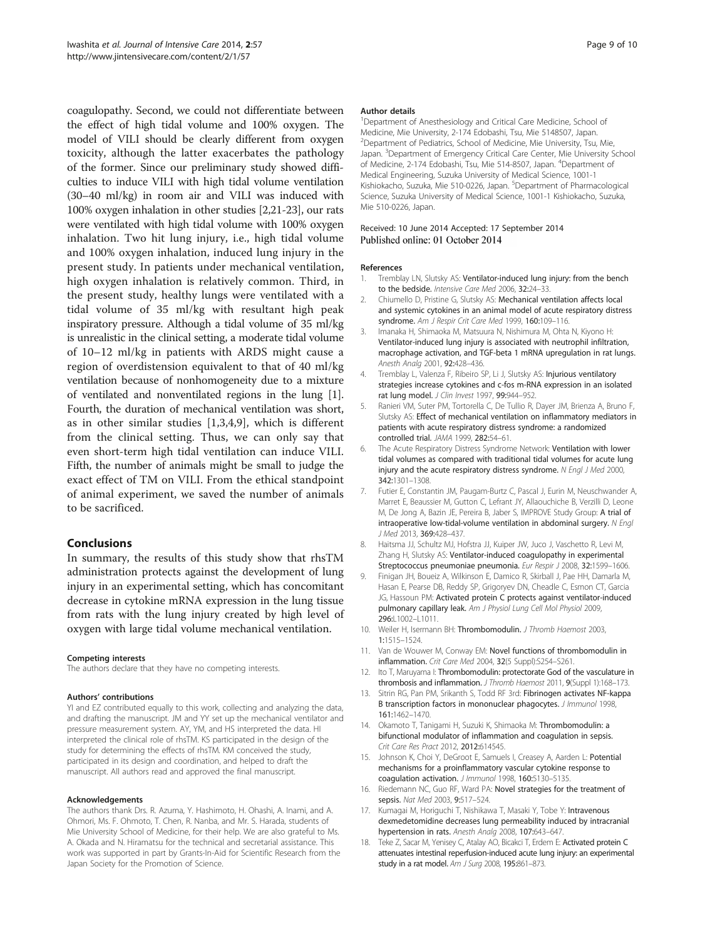<span id="page-8-0"></span>coagulopathy. Second, we could not differentiate between the effect of high tidal volume and 100% oxygen. The model of VILI should be clearly different from oxygen toxicity, although the latter exacerbates the pathology of the former. Since our preliminary study showed difficulties to induce VILI with high tidal volume ventilation (30–40 ml/kg) in room air and VILI was induced with 100% oxygen inhalation in other studies [2,[21](#page-9-0)-[23](#page-9-0)], our rats were ventilated with high tidal volume with 100% oxygen inhalation. Two hit lung injury, i.e., high tidal volume and 100% oxygen inhalation, induced lung injury in the present study. In patients under mechanical ventilation, high oxygen inhalation is relatively common. Third, in the present study, healthy lungs were ventilated with a tidal volume of 35 ml/kg with resultant high peak inspiratory pressure. Although a tidal volume of 35 ml/kg is unrealistic in the clinical setting, a moderate tidal volume of 10–12 ml/kg in patients with ARDS might cause a region of overdistension equivalent to that of 40 ml/kg ventilation because of nonhomogeneity due to a mixture of ventilated and nonventilated regions in the lung [1]. Fourth, the duration of mechanical ventilation was short, as in other similar studies [1,3,4,9], which is different from the clinical setting. Thus, we can only say that even short-term high tidal ventilation can induce VILI. Fifth, the number of animals might be small to judge the exact effect of TM on VILI. From the ethical standpoint of animal experiment, we saved the number of animals to be sacrificed.

#### Conclusions

In summary, the results of this study show that rhsTM administration protects against the development of lung injury in an experimental setting, which has concomitant decrease in cytokine mRNA expression in the lung tissue from rats with the lung injury created by high level of oxygen with large tidal volume mechanical ventilation.

#### Competing interests

The authors declare that they have no competing interests.

#### Authors' contributions

YI and EZ contributed equally to this work, collecting and analyzing the data, and drafting the manuscript. JM and YY set up the mechanical ventilator and pressure measurement system. AY, YM, and HS interpreted the data. HI interpreted the clinical role of rhsTM. KS participated in the design of the study for determining the effects of rhsTM. KM conceived the study, participated in its design and coordination, and helped to draft the manuscript. All authors read and approved the final manuscript.

#### Acknowledgements

The authors thank Drs. R. Azuma, Y. Hashimoto, H. Ohashi, A. Inami, and A. Ohmori, Ms. F. Ohmoto, T. Chen, R. Nanba, and Mr. S. Harada, students of Mie University School of Medicine, for their help. We are also grateful to Ms. A. Okada and N. Hiramatsu for the technical and secretarial assistance. This work was supported in part by Grants-In-Aid for Scientific Research from the Japan Society for the Promotion of Science.

#### Author details

<sup>1</sup>Department of Anesthesiology and Critical Care Medicine, School of Medicine, Mie University, 2-174 Edobashi, Tsu, Mie 5148507, Japan. <sup>2</sup>Department of Pediatrics, School of Medicine, Mie University, Tsu, Mie Japan. <sup>3</sup> Department of Emergency Critical Care Center, Mie University School of Medicine, 2-174 Edobashi, Tsu, Mie 514-8507, Japan. <sup>4</sup>Department of Medical Engineering, Suzuka University of Medical Science, 1001-1 Kishiokacho, Suzuka, Mie 510-0226, Japan. <sup>5</sup>Department of Pharmacological Science, Suzuka University of Medical Science, 1001-1 Kishiokacho, Suzuka, Mie 510-0226, Japan.

#### Received: 10 June 2014 Accepted: 17 September 2014 Published online: 01 October 2014

#### References

- 1. Tremblay LN, Slutsky AS: Ventilator-induced lung injury: from the bench to the bedside. Intensive Care Med 2006, 32:24-33.
- 2. Chiumello D, Pristine G, Slutsky AS: Mechanical ventilation affects local and systemic cytokines in an animal model of acute respiratory distress syndrome. Am J Respir Crit Care Med 1999, 160:109-116.
- Imanaka H, Shimaoka M, Matsuura N, Nishimura M, Ohta N, Kiyono H: Ventilator-induced lung injury is associated with neutrophil infiltration, macrophage activation, and TGF-beta 1 mRNA upregulation in rat lungs. Anesth Analg 2001, 92:428–436.
- 4. Tremblay L, Valenza F, Ribeiro SP, Li J, Slutsky AS: Injurious ventilatory strategies increase cytokines and c-fos m-RNA expression in an isolated rat lung model. J Clin Invest 1997, 99:944–952.
- Ranieri VM, Suter PM, Tortorella C, De Tullio R, Dayer JM, Brienza A, Bruno F, Slutsky AS: Effect of mechanical ventilation on inflammatory mediators in patients with acute respiratory distress syndrome: a randomized controlled trial. JAMA 1999, 282:54–61.
- 6. The Acute Respiratory Distress Syndrome Network: Ventilation with lower tidal volumes as compared with traditional tidal volumes for acute lung injury and the acute respiratory distress syndrome. N Engl J Med 2000, 342:1301–1308.
- 7. Futier E, Constantin JM, Paugam-Burtz C, Pascal J, Eurin M, Neuschwander A, Marret E, Beaussier M, Gutton C, Lefrant JY, Allaouchiche B, Verzilli D, Leone M, De Jong A, Bazin JE, Pereira B, Jaber S, IMPROVE Study Group: A trial of intraoperative low-tidal-volume ventilation in abdominal surgery. N Engl J Med 2013, 369:428–437.
- Haitsma JJ, Schultz MJ, Hofstra JJ, Kuiper JW, Juco J, Vaschetto R, Levi M, Zhang H, Slutsky AS: Ventilator-induced coagulopathy in experimental Streptococcus pneumoniae pneumonia. Eur Respir J 2008, 32:1599-1606.
- 9. Finigan JH, Boueiz A, Wilkinson E, Damico R, Skirball J, Pae HH, Damarla M, Hasan E, Pearse DB, Reddy SP, Grigoryev DN, Cheadle C, Esmon CT, Garcia JG, Hassoun PM: Activated protein C protects against ventilator-induced pulmonary capillary leak. Am J Physiol Lung Cell Mol Physiol 2009, 296:L1002–L1011.
- 10. Weiler H, Isermann BH: Thrombomodulin. J Thromb Haemost 2003, 1:1515–1524.
- 11. Van de Wouwer M, Conway EM: Novel functions of thrombomodulin in inflammation. Crit Care Med 2004, 32(5 Suppl):S254–S261.
- 12. Ito T, Maruyama I: Thrombomodulin: protectorate God of the vasculature in thrombosis and inflammation. J Thromb Haemost 2011, 9(Suppl 1):168–173.
- 13. Sitrin RG, Pan PM, Srikanth S, Todd RF 3rd: Fibrinogen activates NF-kappa B transcription factors in mononuclear phagocytes. J Immunol 1998, 161:1462–1470.
- 14. Okamoto T, Tanigami H, Suzuki K, Shimaoka M: Thrombomodulin: a bifunctional modulator of inflammation and coagulation in sepsis. Crit Care Res Pract 2012, 2012:614545.
- 15. Johnson K, Choi Y, DeGroot E, Samuels I, Creasey A, Aarden L: Potential mechanisms for a proinflammatory vascular cytokine response to coagulation activation. J Immunol 1998, 160:5130-5135.
- 16. Riedemann NC, Guo RF, Ward PA: Novel strategies for the treatment of sepsis. Nat Med 2003, 9:517-524.
- 17. Kumagai M, Horiguchi T, Nishikawa T, Masaki Y, Tobe Y: Intravenous dexmedetomidine decreases lung permeability induced by intracranial hypertension in rats. Anesth Analg 2008, 107:643–647.
- 18. Teke Z, Sacar M, Yenisey C, Atalay AO, Bicakci T, Erdem E: Activated protein C attenuates intestinal reperfusion-induced acute lung injury: an experimental study in a rat model. Am J Surg 2008, 195:861–873.